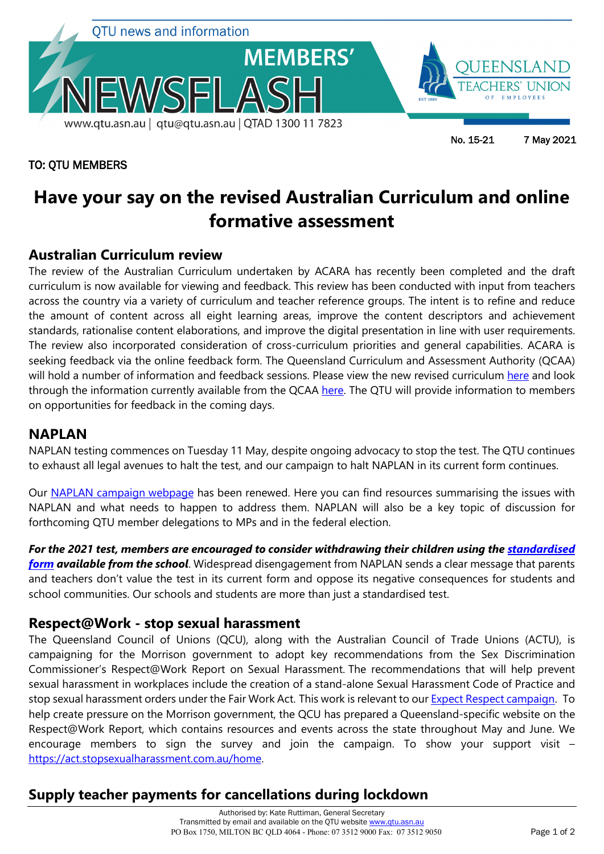

### TO: QTU MEMBERS

No. 15-21 7 May 2021

# **Have your say on the revised Australian Curriculum and online formative assessment**

## **Australian Curriculum review**

The review of the Australian Curriculum undertaken by ACARA has recently been completed and the draft curriculum is now available for viewing and feedback. This review has been conducted with input from teachers across the country via a variety of curriculum and teacher reference groups. The intent is to refine and reduce the amount of content across all eight learning areas, improve the content descriptors and achievement standards, rationalise content elaborations, and improve the digital presentation in line with user requirements. The review also incorporated consideration of cross-curriculum priorities and general capabilities. ACARA is seeking feedback via the online feedback form. The Queensland Curriculum and Assessment Authority (QCAA) will hold a number of information and feedback sessions. Please view the new revised curriculum [here](https://www.acara.edu.au/curriculum/curriculum-review) and look through the information currently available from the QCAA [here.](https://www.qcaa.qld.edu.au/about/initiatives-reviews/australian-curriculum-review) The QTU will provide information to members on opportunities for feedback in the coming days.

### **NAPLAN**

NAPLAN testing commences on Tuesday 11 May, despite ongoing advocacy to stop the test. The QTU continues to exhaust all legal avenues to halt the test, and our campaign to halt NAPLAN in its current form continues.

Our [NAPLAN campaign webpage](https://www.qtu.asn.au/naplan) has been renewed. Here you can find resources summarising the issues with NAPLAN and what needs to happen to address them. NAPLAN will also be a key topic of discussion for forthcoming QTU member delegations to MPs and in the federal election.

*For the 2021 test, members are encouraged to consider withdrawing their children using the [standardised](https://www.qtu.asn.au/application/files/3416/2026/2572/NAPLAN_Withdrawal_Form.pdf)  [form](https://www.qtu.asn.au/application/files/3416/2026/2572/NAPLAN_Withdrawal_Form.pdf) available from the school*. Widespread disengagement from NAPLAN sends a clear message that parents and teachers don't value the test in its current form and oppose its negative consequences for students and school communities. Our schools and students are more than just a standardised test.

### **Respect@Work - stop sexual harassment**

The Queensland Council of Unions (QCU), along with the Australian Council of Trade Unions (ACTU), is campaigning for the Morrison government to adopt key recommendations from the Sex Discrimination Commissioner's Respect@Work Report on Sexual Harassment. The recommendations that will help prevent sexual harassment in workplaces include the creation of a stand-alone Sexual Harassment Code of Practice and stop sexual harassment orders under the Fair Work Act. This work is relevant to our [Expect Respect campaign.](https://www.qtu.asn.au/expect-respect) To help create pressure on the Morrison government, the QCU has prepared a Queensland-specific website on the Respect@Work Report, which contains resources and events across the state throughout May and June. We encourage members to sign the survey and join the campaign. To show your support visit – [https://act.stopsexualharassment.com.au/home.](https://act.stopsexualharassment.com.au/home)

# **Supply teacher payments for cancellations during lockdown**